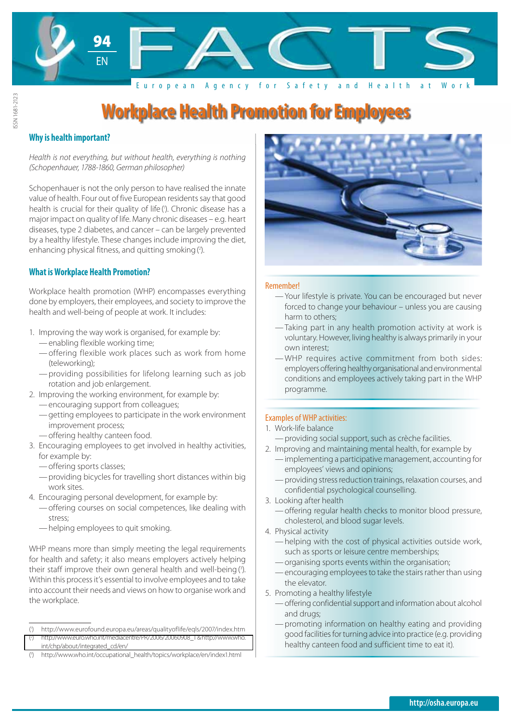

## **Why is health important?**

ISSN 1681-2123

SSN 1681-2123

Health is not everything, but without health, everything is nothing<br>(Schopenhauer, 1788-1860, German philosopher) (Schopenhauer, 1788-1860, German philosopher)

Schopenhauer is not the only person to have realised the innate value of health. Four out of five European residents say that good health is crucial for their quality of life ('). Chronic disease has a major impact on quality of life. Many chronic diseases – e.g. heart diseases, type 2 diabetes, and cancer – can be largely prevented by a healthy lifestyle. These changes include improving the diet, enhancing physical fitness, and quitting smoking (2).

## **What is Workplace Health Promotion?**

Workplace health promotion (WHP) encompasses everything done by employers, their employees, and society to improve the health and well-being of people at work. It includes:

- 1. Improving the way work is organised, for example by:
	- —enabling flexible working time;
	- —offering flexible work places such as work from home (teleworking);
	- —providing possibilities for lifelong learning such as job rotation and job enlargement.
- 2. Improving the working environment, for example by:
	- —encouraging support from colleagues;
	- —getting employees to participate in the work environment improvement process;
	- —offering healthy canteen food.
- 3. Encouraging employees to get involved in healthy activities, for example by:
	- —offering sports classes;
	- —providing bicycles for travelling short distances within big work sites.
- 4. Encouraging personal development, for example by:
	- —offering courses on social competences, like dealing with stress;
	- —helping employees to quit smoking.

WHP means more than simply meeting the legal requirements for health and safety; it also means employers actively helping their staff improve their own general health and well-being (3). Within this process it's essential to involve employees and to take into account their needs and views on how to organise work and the workplace.



#### Remember!

- —Your lifestyle is private. You can be encouraged but never forced to change your behaviour – unless you are causing harm to others;
- Taking part in any health promotion activity at work is voluntary. However, living healthy is always primarily in your own interest;
- —WHP requires active commitment from both sides: employers offering healthy organisational and environmental conditions and employees actively taking part in the WHP programme.

### Examples of WHP activities:

- 1. Work-life balance
	- —providing social support, such as crèche facilities.
- 2. Improving and maintaining mental health, for example by —implementing a participative management, accounting for employees' views and opinions;
	- —providing stress reduction trainings, relaxation courses, and confidential psychological counselling.
- 3. Looking after health
	- —offering regular health checks to monitor blood pressure, cholesterol, and blood sugar levels.
- 4. Physical activity
	- —helping with the cost of physical activities outside work, such as sports or leisure centre memberships;
	- —organising sports events within the organisation;
	- —encouraging employees to take the stairs rather than using the elevator.
- 5. Promoting a healthy lifestyle
	- —offering confidential support and information about alcohol and drugs;
	- —promoting information on healthy eating and providing good facilities for turning advice into practice (e.g. providing healthy canteen food and sufficient time to eat it).

<sup>(</sup> 1 ) http://www.eurofound.europa.eu/areas/qualityoflife/eqls/2007/index.htm

<sup>(</sup> [\) http://www.euro.who.int/mediacentre/PR/2006/20060908\\_1 & http://www.who.](http://www.euro.who.int/mediacentre/PR/2006/20060908_1 & http://www.who.int/chp/about/integrated_cd/en/) int/chp/about/integrated\_cd/en/

<sup>(</sup> 3 ) http://www.who.int/occupational\_health/topics/workplace/en/index1.html